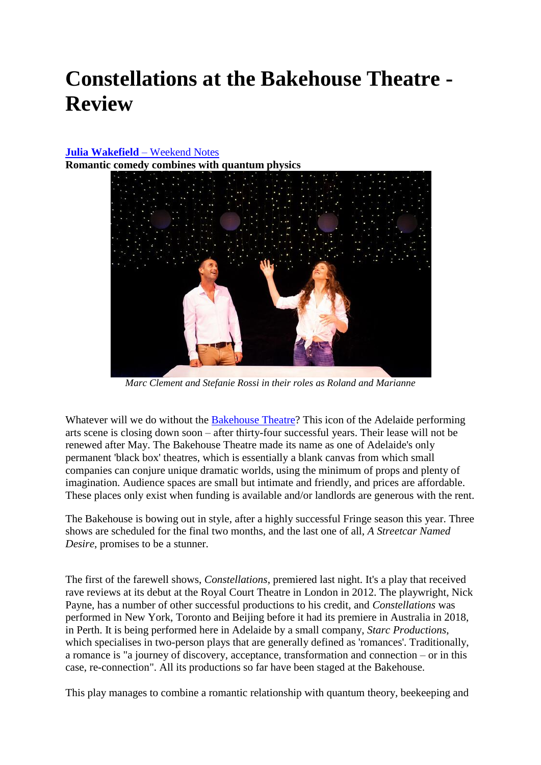## **Constellations at the Bakehouse Theatre - Review**

## **Julia Wakefield** – Weekend Notes

**Romantic [comedy combines with quantum physics](https://www.weekendnotes.com/im/005/00/constellations-bakehouse-theatre-drama-quantum-the1.jpeg)**



*Marc Clement and Stefanie Rossi in their roles as Roland and Marianne*

Whatever will we do without the **Bakehouse Theatre**? This icon of the Adelaide performing arts scene is closing down soon – after thirty-four successful years. Their lease will not be renewed after May. The Bakehouse Theatre made its name as one of Adelaide's only permanent 'black box' theatres, which is essentially a blank canvas from which small companies can conjure unique dramatic worlds, using the minimum of props and plenty of imagination. Audience spaces are small but intimate and friendly, and prices are affordable. These places only exist when funding is available and/or landlords are generous with the rent.

The Bakehouse is bowing out in style, after a highly successful Fringe season this year. Three shows are scheduled for the final two months, and the last one of all, *A Streetcar Named Desire*, promises to be a stunner.

The first of the farewell shows, *Constellations*, premiered last night. It's a play that received rave reviews at its debut at the Royal Court Theatre in London in 2012. The playwright, Nick Payne, has a number of other successful productions to his credit, and *Constellations* was performed in New York, Toronto and Beijing before it had its premiere in Australia in 2018, in Perth. It is being performed here in Adelaide by a small company, *Starc Productions*, which specialises in two-person plays that are generally defined as 'romances'. Traditionally, a romance is "a journey of discovery, acceptance, transformation and connection – or in this case, re-connection". All its productions so far have been staged at the Bakehouse.

This play manages to combine a romantic relationship with quantum theory, beekeeping and